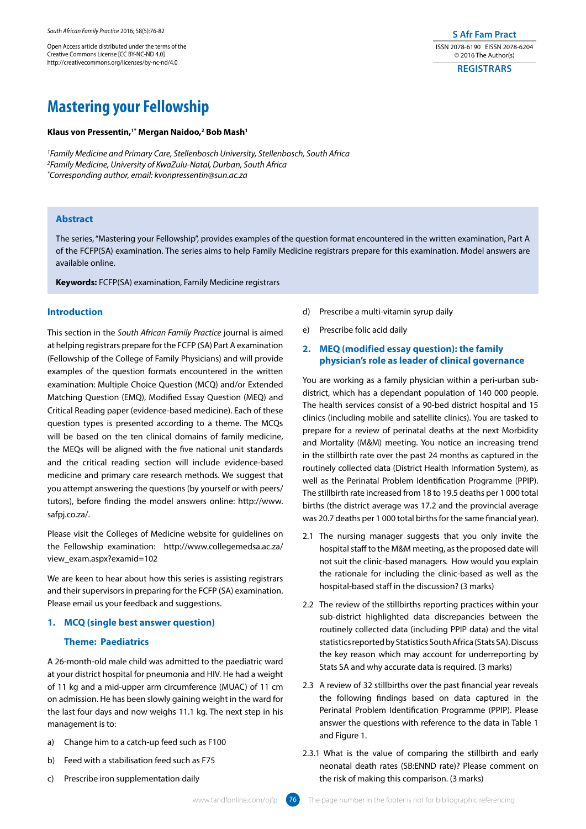Open Access article distributed under the terms of the Creative Commons License [CC BY-NC-ND 4.0] http://creativecommons.org/licenses/by-nc-nd/4.0

# **S Afr Fam Pract** ISSN 2078-6190 EISSN 2078-6204 © 2016 The Author(s)

**REGISTRARS**

# **Mastering your Fellowship**

#### **Klaus von Pressentin,1\* Mergan Naidoo,2 Bob Mash1**

*1 Family Medicine and Primary Care, Stellenbosch University, Stellenbosch, South Africa 2 Family Medicine, University of KwaZulu-Natal, Durban, South Africa \* Corresponding author, email: kvonpressentin@sun.ac.za* 

# **Abstract**

The series, "Mastering your Fellowship", provides examples of the question format encountered in the written examination, Part A of the FCFP(SA) examination. The series aims to help Family Medicine registrars prepare for this examination. Model answers are available online.

**Keywords:** FCFP(SA) examination, Family Medicine registrars

Introduction<br>
This section in the *South African Family Practice* journal is aimed<br>
athelping registrars prepare for the FCFP (SA) Part A examination<br>
deflellomship of the College of Family Physicians) and will provide<br>
ex This section in the *South African Family Practice* journal is aimed at helping registrars prepare for the FCFP (SA) Part A examination (Fellowship of the College of Family Physicians) and will provide examples of the question formats encountered in the written examination: Multiple Choice Question (MCQ) and/or Extended Matching Question (EMQ), Modified Essay Question (MEQ) and Critical Reading paper (evidence-based medicine). Each of these question types is presented according to a theme. The MCQs will be based on the ten clinical domains of family medicine, the MEQs will be aligned with the five national unit standards and the critical reading section will include evidence-based medicine and primary care research methods. We suggest that you attempt answering the questions (by yourself or with peers/ tutors), before finding the model answers online: http://www. safpj.co.za/.

Please visit the Colleges of Medicine website for guidelines on the Fellowship examination: http://www.collegemedsa.ac.za/ view\_exam.aspx?examid=102

We are keen to hear about how this series is assisting registrars and their supervisors in preparing for the FCFP (SA) examination. Please email us your feedback and suggestions.

#### **1. MCQ (single best answer question)**

# **Theme: Paediatrics**

A 26-month-old male child was admitted to the paediatric ward at your district hospital for pneumonia and HIV. He had a weight of 11 kg and a mid-upper arm circumference (MUAC) of 11 cm on admission. He has been slowly gaining weight in the ward for the last four days and now weighs 11.1 kg. The next step in his management is to:

- a) Change him to a catch-up feed such as F100
- b) Feed with a stabilisation feed such as F75
- c) Prescribe iron supplementation daily
- d) Prescribe a multi-vitamin syrup daily
- e) Prescribe folic acid daily

## **2. MEQ (modified essay question): the family physician's role as leader of clinical governance**

You are working as a family physician within a peri-urban subdistrict, which has a dependant population of 140 000 people. The health services consist of a 90-bed district hospital and 15 clinics (including mobile and satellite clinics). You are tasked to prepare for a review of perinatal deaths at the next Morbidity and Mortality (M&M) meeting. You notice an increasing trend in the stillbirth rate over the past 24 months as captured in the routinely collected data (District Health Information System), as well as the Perinatal Problem Identification Programme (PPIP). The stillbirth rate increased from 18 to 19.5 deaths per 1 000 total births (the district average was 17.2 and the provincial average was 20.7 deaths per 1 000 total births for the same financial year).

- 2.1 The nursing manager suggests that you only invite the hospital staff to the M&M meeting, as the proposed date will not suit the clinic-based managers. How would you explain the rationale for including the clinic-based as well as the hospital-based staff in the discussion? (3 marks)
- 2.2 The review of the stillbirths reporting practices within your sub-district highlighted data discrepancies between the routinely collected data (including PPIP data) and the vital statistics reported by Statistics South Africa (Stats SA). Discuss the key reason which may account for underreporting by Stats SA and why accurate data is required. (3 marks)
- 2.3 A review of 32 stillbirths over the past financial year reveals the following findings based on data captured in the Perinatal Problem Identification Programme (PPIP). Please answer the questions with reference to the data in Table 1 and Figure 1.
- 2.3.1 What is the value of comparing the stillbirth and early neonatal death rates (SB:ENND rate)? Please comment on the risk of making this comparison. (3 marks)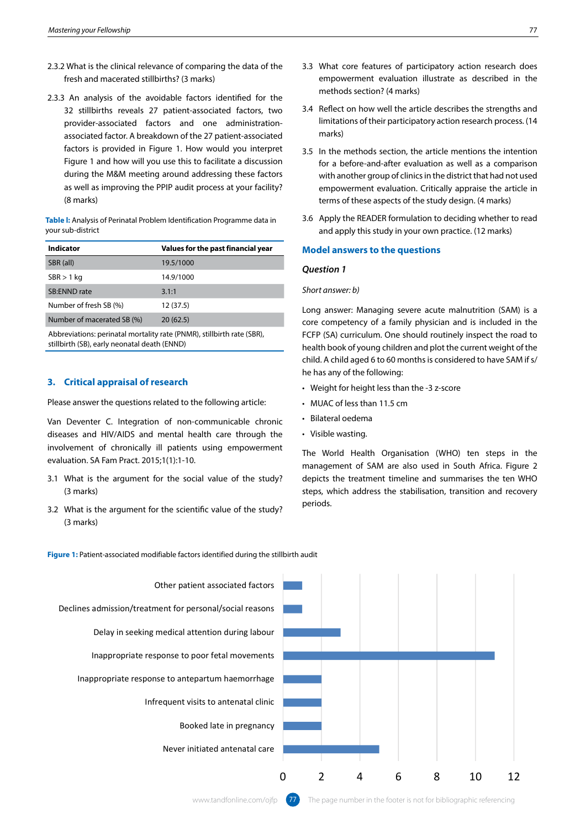- fresh and macerated stillbirths? (3 marks)
- 2.3.3 An analysis of the avoidable factors identified for the 32 stillbirths reveals 27 patient-associated factors, two provider-associated factors and one administrationassociated factor. A breakdown of the 27 patient-associated factors is provided in Figure 1. How would you interpret Figure 1 and how will you use this to facilitate a discussion during the M&M meeting around addressing these factors as well as improving the PPIP audit process at your facility? (8 marks)

**Table l:** Analysis of Perinatal Problem Identification Programme data in your sub-district

| Values for the past financial year |
|------------------------------------|
| 19.5/1000                          |
| 14.9/1000                          |
| 3.1:1                              |
| 12 (37.5)                          |
| 20(62.5)                           |
|                                    |

Abbreviations: perinatal mortality rate (PNMR), stillbirth rate (SBR), stillbirth (SB), early neonatal death (ENND)

# **3. Critical appraisal of research**

Please answer the questions related to the following article:

Van Deventer C. Integration of non-communicable chronic diseases and HIV/AIDS and mental health care through the involvement of chronically ill patients using empowerment evaluation. SA Fam Pract. 2015;1(1):1-10.

- 3.1 What is the argument for the social value of the study? (3 marks)
- 3.2 What is the argument for the scientific value of the study? (3 marks)  $A<sub>max</sub>$  marks), still birth rate ( $B<sub>max</sub>$ ), stillar rate (SB), early neutrities (SB), early neutrities (SB), early neutrities (SBR), early neutrities (SBR), early neutrities (SBR), early neutrities (SBR), early neut
- 3.3 What core features of participatory action research does empowerment evaluation illustrate as described in the methods section? (4 marks)
- 3.4 Reflect on how well the article describes the strengths and limitations of their participatory action research process. (14 marks)
- 3.5 In the methods section, the article mentions the intention for a before-and-after evaluation as well as a comparison with another group of clinics in the district that had not used empowerment evaluation. Critically appraise the article in terms of these aspects of the study design. (4 marks)
- 3.6 Apply the READER formulation to deciding whether to read and apply this study in your own practice. (12 marks)

#### **Model answers to the questions**

#### *Question 1*

#### *Short answer: b)*

Long answer: Managing severe acute malnutrition (SAM) is a core competency of a family physician and is included in the FCFP (SA) curriculum. One should routinely inspect the road to health book of young children and plot the current weight of the child. A child aged 6 to 60 months is considered to have SAM if s/ he has any of the following:

- Weight for height less than the -3 z-score
- MUAC of less than 11.5 cm
- Bilateral oedema
- Visible wasting.

The World Health Organisation (WHO) ten steps in the management of SAM are also used in South Africa. Figure 2 depicts the treatment timeline and summarises the ten WHO steps, which address the stabilisation, transition and recovery periods.



Figure 1: Patient-associated modifiable factors identified during the stillbirth audit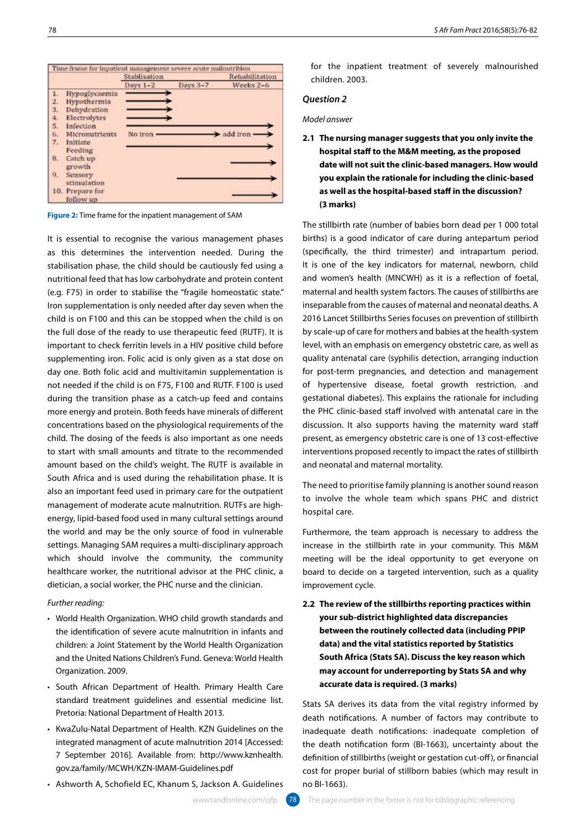

**Figure 2:** Time frame for the inpatient management of SAM

**The mastering interimental to recognise the mastering you the mastering you the mastering you the various management of a state of the various material to recognise the various material to recognise the various material** as this determines the intervention needed. During the stabilisation phase, the child should be cautiously fed using a nutritional feed that has low carbohydrate and protein content (e.g. F75) in order to stabilise the "fragile homeostatic state." Iron supplementation is only needed after day seven when the child is on F100 and this can be stopped when the child is on the full dose of the ready to use therapeutic feed (RUTF). It is important to check ferritin levels in a HIV positive child before supplementing iron. Folic acid is only given as a stat dose on day one. Both folic acid and multivitamin supplementation is not needed if the child is on F75, F100 and RUTF. F100 is used during the transition phase as a catch-up feed and contains more energy and protein. Both feeds have minerals of different concentrations based on the physiological requirements of the child. The dosing of the feeds is also important as one needs to start with small amounts and titrate to the recommended amount based on the child's weight. The RUTF is available in South Africa and is used during the rehabilitation phase. It is also an important feed used in primary care for the outpatient management of moderate acute malnutrition. RUTFs are highenergy, lipid-based food used in many cultural settings around the world and may be the only source of food in vulnerable settings. Managing SAM requires a multi-disciplinary approach which should involve the community, the community healthcare worker, the nutritional advisor at the PHC clinic, a dietician, a social worker, the PHC nurse and the clinician.

#### *Further reading:*

- World Health Organization. WHO child growth standards and the identification of severe acute malnutrition in infants and children: a Joint Statement by the World Health Organization and the United Nations Children's Fund. Geneva: World Health Organization. 2009.
- South African Department of Health. Primary Health Care standard treatment guidelines and essential medicine list. Pretoria: National Department of Health 2013.
- KwaZulu-Natal Department of Health. KZN Guidelines on the integrated managment of acute malnutrition 2014 [Accessed: 7 September 2016]. Available from: http://www.kznhealth. gov.za/family/MCWH/KZN-IMAM-Guidelines.pdf
- Ashworth A, Schofield EC, Khanum S, Jackson A. Guidelines

for the inpatient treatment of severely malnourished children. 2003.

# *Question 2*

# *Model answer*

**2.1 The nursing manager suggests that you only invite the hospital staff to the M&M meeting, as the proposed date will not suit the clinic-based managers. How would you explain the rationale for including the clinic-based as well as the hospital-based staff in the discussion? (3 marks)**

The stillbirth rate (number of babies born dead per 1 000 total births) is a good indicator of care during antepartum period (specifically, the third trimester) and intrapartum period. It is one of the key indicators for maternal, newborn, child and women's health (MNCWH) as it is a reflection of foetal, maternal and health system factors. The causes of stillbirths are inseparable from the causes of maternal and neonatal deaths. A 2016 Lancet Stillbirths Series focuses on prevention of stillbirth by scale-up of care for mothers and babies at the health-system level, with an emphasis on emergency obstetric care, as well as quality antenatal care (syphilis detection, arranging induction for post-term pregnancies, and detection and management of hypertensive disease, foetal growth restriction, and gestational diabetes). This explains the rationale for including the PHC clinic-based staff involved with antenatal care in the discussion. It also supports having the maternity ward staff present, as emergency obstetric care is one of 13 cost-effective interventions proposed recently to impact the rates of stillbirth and neonatal and maternal mortality.

The need to prioritise family planning is another sound reason to involve the whole team which spans PHC and district hospital care.

Furthermore, the team approach is necessary to address the increase in the stillbirth rate in your community. This M&M meeting will be the ideal opportunity to get everyone on board to decide on a targeted intervention, such as a quality improvement cycle.

**2.2 The review of the stillbirths reporting practices within your sub-district highlighted data discrepancies between the routinely collected data (including PPIP data) and the vital statistics reported by Statistics South Africa (Stats SA). Discuss the key reason which may account for underreporting by Stats SA and why accurate data is required. (3 marks)**

Stats SA derives its data from the vital registry informed by death notifications. A number of factors may contribute to inadequate death notifications: inadequate completion of the death notification form (BI-1663), uncertainty about the definition of stillbirths (weight or gestation cut-off), or financial cost for proper burial of stillborn babies (which may result in no BI-1663).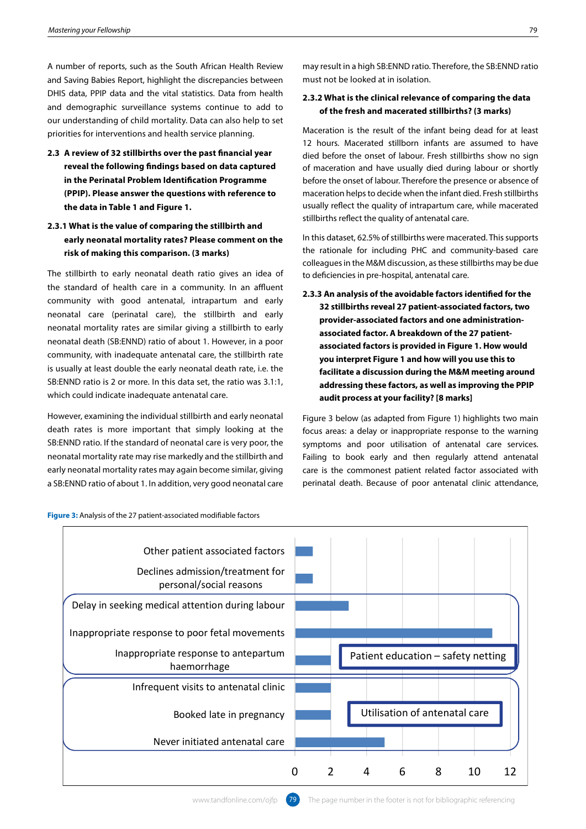and Saving Babies Report, highlight the discrepancies between DHIS data, PPIP data and the vital statistics. Data from health and demographic surveillance systems continue to add to our understanding of child mortality. Data can also help to set priorities for interventions and health service planning.

**2.3 A review of 32 stillbirths over the past financial year reveal the following findings based on data captured in the Perinatal Problem Identification Programme (PPIP). Please answer the questions with reference to the data in Table 1 and Figure 1.**

# **2.3.1 What is the value of comparing the stillbirth and risk of making this comparison. (3 marks)**

The stillbirth to early neonatal death ratio gives an idea of to deficiencies in pre-hospital, antenatal care.<br>Health systems of a still be a still because the control of an allege of an allege and the still because the s the standard of health care in a community. In an affluent community with good antenatal, intrapartum and early neonatal care (perinatal care), the stillbirth and early **order to a symbolisher and particle inclusive on the provider** neonatal mortality rates are similar giving a stillbirth to early neonatal death (SB:ENND) ratio of about 1. However, in a poor community, with inadequate antenatal care, the stillbirth rate you merpress igure rand now win you use this to<br>dis usually at least double the early neonatal death rate, i.e. the **definition a** discussion during the M&M meeting around SB:ENND ratio is 2 or more. In this data set, the ratio was 3.1:1, which could indicate inadequate antenatal care.

However, examining the individual stillbirth and early neonatal death rates is more important that simply looking at the SB:ENND ratio. If the standard of neonatal care is very poor, the neonatal mortality rate may rise markedly and the stillbirth and and determine the allocation of unclearing to the manufall mortality rate of the allocation of the allocation of the allocation of the meqularly-collected an early neonatal mortality rates may again become similar, giving a SB:ENND ratio of about 1. In addition, very good neonatal care ever, examining the individual stillbirth and early neonatal y pagure 3 below (as adapted from Figure 1) highlights two main

# **2.3.2 What is the clinical relevance of comparing the data of the fresh and macerated stillbirths? (3 marks)**

Maceration is the result of the infant being dead for at least 12 hours. Macerated stillborn infants are assumed to have died before the onset of labour. Fresh stillbirths show no sign of maceration and have usually died during labour or shortly before the onset of labour. Therefore the presence or absence of maceration helps to decide when the infant died. Fresh stillbirths usually reflect the quality of intrapartum care, while macerated stillbirths reflect the quality of antenatal care.

**early neonatal mortality rates? Please comment on the** and the linitis dataset, 62.5% of stillbirths were macerated. This supports<br>the rationale for including PHC and community-based care In this dataset, 62.5% of stillbirths were macerated. This supports the rationale for including PHC and community-based care colleagues in the M&M discussion, as these stillbirths may be due<br>colleagues in the M&M discussion, as these stillbirths may be due to deficiencies in pre-hospital, antenatal care.

**2.3.3 An analysis of the avoidable factors identified for the**<br>munity with good antenatal intranartum and early **32 stillbirths reveal 27 patient-associated factors, two provider-associated factors and one administration**natal mortality rates are similar giving a stillbirth to early **associated factor. A breakdown of the 27 patient**natal death (BDENND) ratio of about 1. However, in a pool **associated factors is provided in Figure 1. How would you interpret Figure 1 and how will you use this to facilitate a discussion during the M&M meeting around**  NND ratio is 2 or more. In this data set, the ratio was 3.1:1, **addressing these factors, as well as improving the PPIP** ch could indicate inadequate antenatal care. **In the part of the part of a good involve** to involve the part of t

th rates is more important that simply looking at the focus areas: a delay or inappropriate response to the warning<br>NND at a little started to be realth services to plan health services in the routine of the routine of the symptoms and poor utilisation of antenatal care services. Failing to book early and then regularly attend antenatal y neonatal mortality rates may again become similar, giving an acare is the commonest patient related factor associated with perinatal death. Because of poor antenatal clinic attendance,



**Figure 3:** Analysis of the 27 patient-associated modifiable factors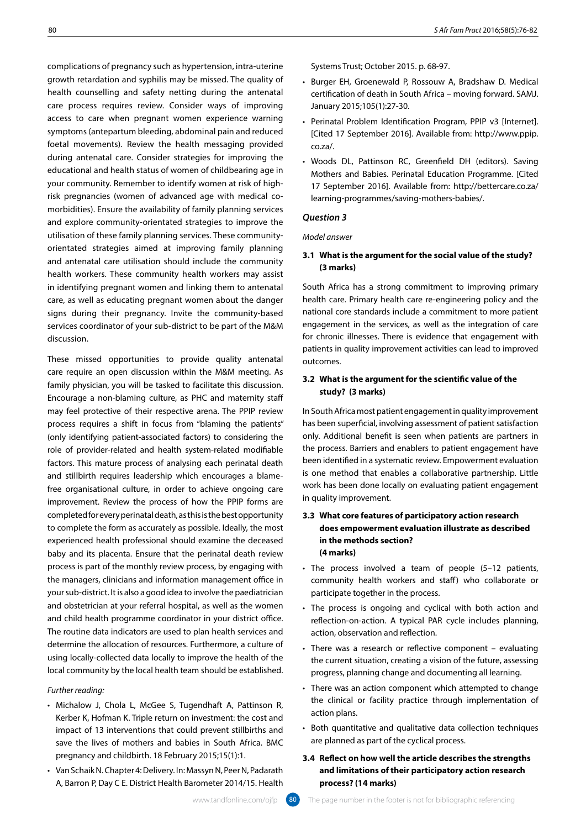growth retardation and syphilis may be missed. The quality of health counselling and safety netting during the antenatal care process requires review. Consider ways of improving access to care when pregnant women experience warning symptoms (antepartum bleeding, abdominal pain and reduced foetal movements). Review the health messaging provided during antenatal care. Consider strategies for improving the educational and health status of women of childbearing age in your community. Remember to identify women at risk of highrisk pregnancies (women of advanced age with medical comorbidities). Ensure the availability of family planning services and explore community-orientated strategies to improve the utilisation of these family planning services. These communityorientated strategies aimed at improving family planning and antenatal care utilisation should include the community health workers. These community health workers may assist in identifying pregnant women and linking them to antenatal care, as well as educating pregnant women about the danger signs during their pregnancy. Invite the community-based services coordinator of your sub-district to be part of the M&M discussion.

**System control of the control of the control of the control of the control of the control of the control of the control of the control of the control of the control of the control of the control of the control of the con** These missed opportunities to provide quality antenatal care require an open discussion within the M&M meeting. As family physician, you will be tasked to facilitate this discussion. Encourage a non-blaming culture, as PHC and maternity staff may feel protective of their respective arena. The PPIP review process requires a shift in focus from "blaming the patients" (only identifying patient-associated factors) to considering the role of provider-related and health system-related modifiable factors. This mature process of analysing each perinatal death and stillbirth requires leadership which encourages a blamefree organisational culture, in order to achieve ongoing care improvement. Review the process of how the PPIP forms are completed for every perinatal death, as this is the best opportunity to complete the form as accurately as possible. Ideally, the most experienced health professional should examine the deceased baby and its placenta. Ensure that the perinatal death review process is part of the monthly review process, by engaging with the managers, clinicians and information management office in your sub-district. It is also a good idea to involve the paediatrician and obstetrician at your referral hospital, as well as the women and child health programme coordinator in your district office. The routine data indicators are used to plan health services and determine the allocation of resources. Furthermore, a culture of using locally-collected data locally to improve the health of the local community by the local health team should be established.

#### *Further reading:*

- Michalow J, Chola L, McGee S, Tugendhaft A, Pattinson R, Kerber K, Hofman K. Triple return on investment: the cost and impact of 13 interventions that could prevent stillbirths and save the lives of mothers and babies in South Africa. BMC pregnancy and childbirth. 18 February 2015;15(1):1.
- Van Schaik N. Chapter 4: Delivery. In: Massyn N, Peer N, Padarath A, Barron P, Day C E. District Health Barometer 2014/15. Health

Systems Trust; October 2015. p. 68-97.

- Burger EH, Groenewald P, Rossouw A, Bradshaw D. Medical certification of death in South Africa – moving forward. SAMJ. January 2015;105(1):27-30.
- Perinatal Problem Identification Program, PPIP v3 [Internet]. [Cited 17 September 2016]. Available from: http://www.ppip. co.za/.
- Woods DL, Pattinson RC, Greenfield DH (editors). Saving Mothers and Babies. Perinatal Education Programme. [Cited 17 September 2016]. Available from: http://bettercare.co.za/ learning-programmes/saving-mothers-babies/.

#### *Question 3*

#### *Model answer*

# **3.1 What is the argument for the social value of the study? (3 marks)**

South Africa has a strong commitment to improving primary health care. Primary health care re-engineering policy and the national core standards include a commitment to more patient engagement in the services, as well as the integration of care for chronic illnesses. There is evidence that engagement with patients in quality improvement activities can lead to improved outcomes.

# **3.2 What is the argument for the scientific value of the study? (3 marks)**

In South Africa most patient engagement in quality improvement has been superficial, involving assessment of patient satisfaction only. Additional benefit is seen when patients are partners in the process. Barriers and enablers to patient engagement have been identified in a systematic review. Empowerment evaluation is one method that enables a collaborative partnership. Little work has been done locally on evaluating patient engagement in quality improvement.

# **3.3 What core features of participatory action research does empowerment evaluation illustrate as described in the methods section? (4 marks)**

- The process involved a team of people (5–12 patients, community health workers and staff) who collaborate or participate together in the process.
- The process is ongoing and cyclical with both action and reflection-on-action. A typical PAR cycle includes planning, action, observation and reflection.
- There was a research or reflective component evaluating the current situation, creating a vision of the future, assessing progress, planning change and documenting all learning.
- There was an action component which attempted to change the clinical or facility practice through implementation of action plans.
- Both quantitative and qualitative data collection techniques are planned as part of the cyclical process.

# **3.4 Reflect on how well the article describes the strengths and limitations of their participatory action research process? (14 marks)**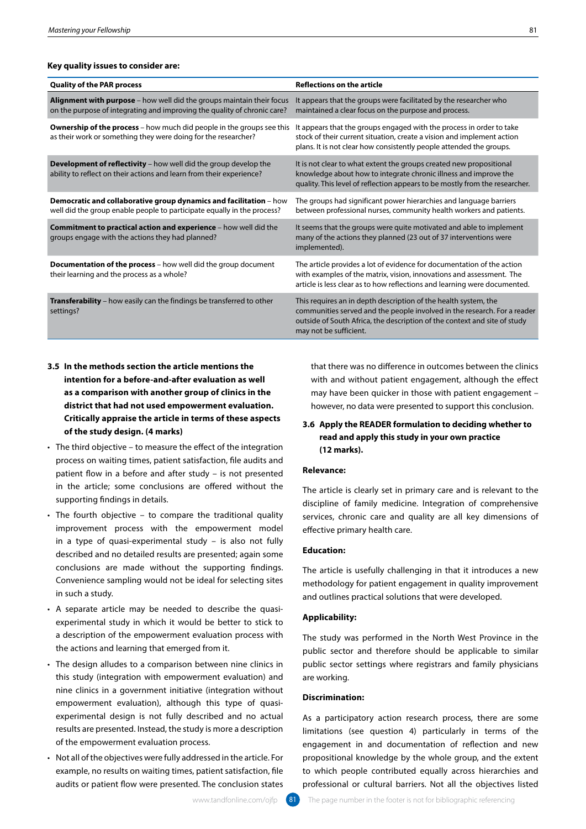#### **Key quality issues to consider are:**

| Mastering your Fellowship                                                                                                                                                                                                                                                                                                                                                                                                                                                                                                                                                                                                                                                                                                                                                                                                                                                                                                                                                                                                                                                                                                                                                                                                                                                                                                                                                                                                                                                                                                | 81                                                                                                                                                                                                                                                                                                                                                                                                                                                                                                                                                                                                                                                                                                                                                                                                                                                                                                                                                                                                                                                                                                                     |
|--------------------------------------------------------------------------------------------------------------------------------------------------------------------------------------------------------------------------------------------------------------------------------------------------------------------------------------------------------------------------------------------------------------------------------------------------------------------------------------------------------------------------------------------------------------------------------------------------------------------------------------------------------------------------------------------------------------------------------------------------------------------------------------------------------------------------------------------------------------------------------------------------------------------------------------------------------------------------------------------------------------------------------------------------------------------------------------------------------------------------------------------------------------------------------------------------------------------------------------------------------------------------------------------------------------------------------------------------------------------------------------------------------------------------------------------------------------------------------------------------------------------------|------------------------------------------------------------------------------------------------------------------------------------------------------------------------------------------------------------------------------------------------------------------------------------------------------------------------------------------------------------------------------------------------------------------------------------------------------------------------------------------------------------------------------------------------------------------------------------------------------------------------------------------------------------------------------------------------------------------------------------------------------------------------------------------------------------------------------------------------------------------------------------------------------------------------------------------------------------------------------------------------------------------------------------------------------------------------------------------------------------------------|
|                                                                                                                                                                                                                                                                                                                                                                                                                                                                                                                                                                                                                                                                                                                                                                                                                                                                                                                                                                                                                                                                                                                                                                                                                                                                                                                                                                                                                                                                                                                          |                                                                                                                                                                                                                                                                                                                                                                                                                                                                                                                                                                                                                                                                                                                                                                                                                                                                                                                                                                                                                                                                                                                        |
| Key quality issues to consider are:                                                                                                                                                                                                                                                                                                                                                                                                                                                                                                                                                                                                                                                                                                                                                                                                                                                                                                                                                                                                                                                                                                                                                                                                                                                                                                                                                                                                                                                                                      |                                                                                                                                                                                                                                                                                                                                                                                                                                                                                                                                                                                                                                                                                                                                                                                                                                                                                                                                                                                                                                                                                                                        |
| <b>Quality of the PAR process</b>                                                                                                                                                                                                                                                                                                                                                                                                                                                                                                                                                                                                                                                                                                                                                                                                                                                                                                                                                                                                                                                                                                                                                                                                                                                                                                                                                                                                                                                                                        | <b>Reflections on the article</b>                                                                                                                                                                                                                                                                                                                                                                                                                                                                                                                                                                                                                                                                                                                                                                                                                                                                                                                                                                                                                                                                                      |
| Alignment with purpose - how well did the groups maintain their focus<br>on the purpose of integrating and improving the quality of chronic care?                                                                                                                                                                                                                                                                                                                                                                                                                                                                                                                                                                                                                                                                                                                                                                                                                                                                                                                                                                                                                                                                                                                                                                                                                                                                                                                                                                        | It appears that the groups were facilitated by the researcher who<br>maintained a clear focus on the purpose and process.                                                                                                                                                                                                                                                                                                                                                                                                                                                                                                                                                                                                                                                                                                                                                                                                                                                                                                                                                                                              |
| <b>Ownership of the process</b> – how much did people in the groups see this<br>as their work or something they were doing for the researcher?                                                                                                                                                                                                                                                                                                                                                                                                                                                                                                                                                                                                                                                                                                                                                                                                                                                                                                                                                                                                                                                                                                                                                                                                                                                                                                                                                                           | It appears that the groups engaged with the process in order to take<br>stock of their current situation, create a vision and implement action<br>plans. It is not clear how consistently people attended the groups.                                                                                                                                                                                                                                                                                                                                                                                                                                                                                                                                                                                                                                                                                                                                                                                                                                                                                                  |
| <b>Development of reflectivity</b> - how well did the group develop the<br>ability to reflect on their actions and learn from their experience?                                                                                                                                                                                                                                                                                                                                                                                                                                                                                                                                                                                                                                                                                                                                                                                                                                                                                                                                                                                                                                                                                                                                                                                                                                                                                                                                                                          | It is not clear to what extent the groups created new propositional<br>knowledge about how to integrate chronic illness and improve the<br>quality. This level of reflection appears to be mostly from the researcher.                                                                                                                                                                                                                                                                                                                                                                                                                                                                                                                                                                                                                                                                                                                                                                                                                                                                                                 |
| Democratic and collaborative group dynamics and facilitation - how<br>well did the group enable people to participate equally in the process?                                                                                                                                                                                                                                                                                                                                                                                                                                                                                                                                                                                                                                                                                                                                                                                                                                                                                                                                                                                                                                                                                                                                                                                                                                                                                                                                                                            | The groups had significant power hierarchies and language barriers<br>between professional nurses, community health workers and patients.                                                                                                                                                                                                                                                                                                                                                                                                                                                                                                                                                                                                                                                                                                                                                                                                                                                                                                                                                                              |
| Commitment to practical action and experience - how well did the<br>groups engage with the actions they had planned?                                                                                                                                                                                                                                                                                                                                                                                                                                                                                                                                                                                                                                                                                                                                                                                                                                                                                                                                                                                                                                                                                                                                                                                                                                                                                                                                                                                                     | It seems that the groups were quite motivated and able to implement<br>many of the actions they planned (23 out of 37 interventions were<br>implemented).                                                                                                                                                                                                                                                                                                                                                                                                                                                                                                                                                                                                                                                                                                                                                                                                                                                                                                                                                              |
| <b>Documentation of the process</b> - how well did the group document<br>their learning and the process as a whole?                                                                                                                                                                                                                                                                                                                                                                                                                                                                                                                                                                                                                                                                                                                                                                                                                                                                                                                                                                                                                                                                                                                                                                                                                                                                                                                                                                                                      | The article provides a lot of evidence for documentation of the action<br>with examples of the matrix, vision, innovations and assessment. The<br>article is less clear as to how reflections and learning were documented.                                                                                                                                                                                                                                                                                                                                                                                                                                                                                                                                                                                                                                                                                                                                                                                                                                                                                            |
| Transferability - how easily can the findings be transferred to other<br>settings?                                                                                                                                                                                                                                                                                                                                                                                                                                                                                                                                                                                                                                                                                                                                                                                                                                                                                                                                                                                                                                                                                                                                                                                                                                                                                                                                                                                                                                       | This requires an in depth description of the health system, the<br>communities served and the people involved in the research. For a reader<br>outside of South Africa, the description of the context and site of study<br>may not be sufficient.                                                                                                                                                                                                                                                                                                                                                                                                                                                                                                                                                                                                                                                                                                                                                                                                                                                                     |
| intention for a before-and-after evaluation as well<br>as a comparison with another group of clinics in the<br>district that had not used empowerment evaluation.<br>Critically appraise the article in terms of these aspects<br>of the study design. (4 marks)<br>• The third objective – to measure the effect of the integration<br>process on waiting times, patient satisfaction, file audits and<br>patient flow in a before and after study - is not presented<br>in the article; some conclusions are offered without the<br>supporting findings in details.<br>• The fourth objective - to compare the traditional quality<br>improvement process with the empowerment model<br>in a type of quasi-experimental study - is also not fully<br>described and no detailed results are presented; again some<br>conclusions are made without the supporting findings.<br>Convenience sampling would not be ideal for selecting sites<br>in such a study.<br>• A separate article may be needed to describe the quasi-<br>experimental study in which it would be better to stick to<br>a description of the empowerment evaluation process with<br>the actions and learning that emerged from it.<br>• The design alludes to a comparison between nine clinics in<br>this study (integration with empowerment evaluation) and<br>nine clinics in a government initiative (integration without<br>empowerment evaluation), although this type of quasi-<br>experimental design is not fully described and no actual | with and without patient engagement, although the effect<br>may have been quicker in those with patient engagement -<br>however, no data were presented to support this conclusion.<br>3.6 Apply the READER formulation to deciding whether to<br>read and apply this study in your own practice<br>(12 marks).<br><b>Relevance:</b><br>The article is clearly set in primary care and is relevant to the<br>discipline of family medicine. Integration of comprehensive<br>services, chronic care and quality are all key dimensions of<br>effective primary health care.<br><b>Education:</b><br>The article is usefully challenging in that it introduces a new<br>methodology for patient engagement in quality improvement<br>and outlines practical solutions that were developed.<br><b>Applicability:</b><br>The study was performed in the North West Province in the<br>public sector and therefore should be applicable to similar<br>public sector settings where registrars and family physicians<br>are working.<br><b>Discrimination:</b><br>As a participatory action research process, there are some |
| results are presented. Instead, the study is more a description<br>of the empowerment evaluation process.<br>• Not all of the objectives were fully addressed in the article. For<br>example, no results on waiting times, patient satisfaction, file<br>audits or patient flow were presented. The conclusion states                                                                                                                                                                                                                                                                                                                                                                                                                                                                                                                                                                                                                                                                                                                                                                                                                                                                                                                                                                                                                                                                                                                                                                                                    | limitations (see question 4) particularly in terms of the<br>engagement in and documentation of reflection and new<br>propositional knowledge by the whole group, and the extent<br>to which people contributed equally across hierarchies and<br>professional or cultural barriers. Not all the objectives listed                                                                                                                                                                                                                                                                                                                                                                                                                                                                                                                                                                                                                                                                                                                                                                                                     |
| www.tandfonline.com/ojfp 81                                                                                                                                                                                                                                                                                                                                                                                                                                                                                                                                                                                                                                                                                                                                                                                                                                                                                                                                                                                                                                                                                                                                                                                                                                                                                                                                                                                                                                                                                              | The page number in the footer is not for bibliographic referencing                                                                                                                                                                                                                                                                                                                                                                                                                                                                                                                                                                                                                                                                                                                                                                                                                                                                                                                                                                                                                                                     |

- **intention for a before-and-after evaluation as well as a comparison with another group of clinics in the district that had not used empowerment evaluation. Critically appraise the article in terms of these aspects of the study design. (4 marks)**
- The third objective to measure the effect of the integration process on waiting times, patient satisfaction, file audits and patient flow in a before and after study – is not presented in the article; some conclusions are offered without the supporting findings in details.
- The fourth objective to compare the traditional quality improvement process with the empowerment model in a type of quasi-experimental study – is also not fully described and no detailed results are presented; again some conclusions are made without the supporting findings. Convenience sampling would not be ideal for selecting sites in such a study.
- A separate article may be needed to describe the quasiexperimental study in which it would be better to stick to a description of the empowerment evaluation process with the actions and learning that emerged from it.
- The design alludes to a comparison between nine clinics in this study (integration with empowerment evaluation) and nine clinics in a government initiative (integration without empowerment evaluation), although this type of quasiexperimental design is not fully described and no actual results are presented. Instead, the study is more a description of the empowerment evaluation process.
- Not all of the objectives were fully addressed in the article. For example, no results on waiting times, patient satisfaction, file audits or patient flow were presented. The conclusion states

# **3.6 Apply the READER formulation to deciding whether to read and apply this study in your own practice (12 marks).**

#### **Relevance:**

# **Education:**

#### **Applicability:**

# **Discrimination:**